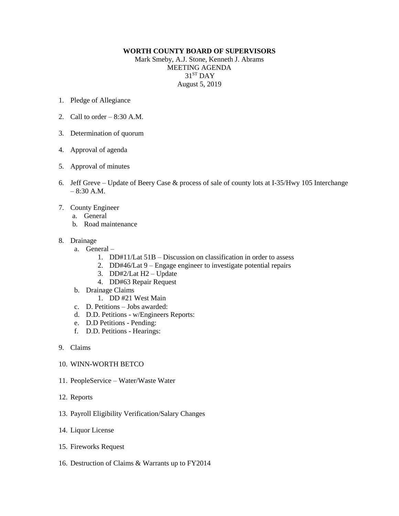## **WORTH COUNTY BOARD OF SUPERVISORS** Mark Smeby, A.J. Stone, Kenneth J. Abrams

MEETING AGENDA  $31<sup>ST</sup>$  DAY August 5, 2019

- 1. Pledge of Allegiance
- 2. Call to order  $-8:30$  A.M.
- 3. Determination of quorum
- 4. Approval of agenda
- 5. Approval of minutes
- 6. Jeff Greve Update of Beery Case & process of sale of county lots at I-35/Hwy 105 Interchange  $-8:30$  A.M.
- 7. County Engineer
	- a. General
	- b. Road maintenance
- 8. Drainage
	- a. General
		- 1. DD#11/Lat 51B Discussion on classification in order to assess
		- 2. DD#46/Lat 9 Engage engineer to investigate potential repairs
		- 3. DD#2/Lat H2 Update
		- 4. DD#63 Repair Request
	- b. Drainage Claims
		- 1. DD #21 West Main
	- c. D. Petitions Jobs awarded:
	- d. D.D. Petitions w/Engineers Reports:
	- e. D.D Petitions Pending:
	- f. D.D. Petitions Hearings:
- 9. Claims
- 10. WINN-WORTH BETCO
- 11. PeopleService Water/Waste Water
- 12. Reports
- 13. Payroll Eligibility Verification/Salary Changes
- 14. Liquor License
- 15. Fireworks Request
- 16. Destruction of Claims & Warrants up to FY2014